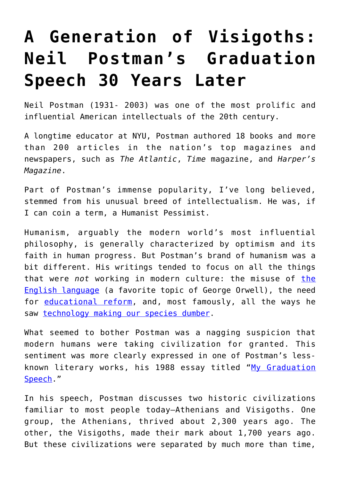## **[A Generation of Visigoths:](https://intellectualtakeout.org/2018/03/a-generation-of-visigoths-neil-postmans-graduation-speech-30-years-later/) [Neil Postman's Graduation](https://intellectualtakeout.org/2018/03/a-generation-of-visigoths-neil-postmans-graduation-speech-30-years-later/) [Speech 30 Years Later](https://intellectualtakeout.org/2018/03/a-generation-of-visigoths-neil-postmans-graduation-speech-30-years-later/)**

Neil Postman (1931- 2003) was one of the most prolific and influential American intellectuals of the 20th century.

A longtime educator at NYU, Postman authored 18 books and more than 200 articles in the nation's top magazines and newspapers, such as *The Atlantic*, *Time* magazine, and *Harper's Magazine*.

Part of Postman's immense popularity, I've long believed, stemmed from his unusual breed of intellectualism. He was, if I can coin a term, a Humanist Pessimist.

Humanism, arguably the modern world's most influential philosophy, is generally characterized by optimism and its faith in human progress. But Postman's brand of humanism was a bit different. His writings tended to focus on all the things that were *not* working in modern culture: the misuse of [the](https://www.bartleby.com/essay/Neil-Postman-P3AJSQYTJ) [English language](https://www.bartleby.com/essay/Neil-Postman-P3AJSQYTJ) (a favorite topic of George Orwell), the need for [educational reform,](http://neilpostman.org/articles/Postman-TheEducationistAsPainkiller.pdf) and, most famously, all the ways he saw [technology making our species dumber.](https://amzn.to/2pLHJJA)

What seemed to bother Postman was a nagging suspicion that modern humans were taking civilization for granted. This sentiment was more clearly expressed in one of Postman's lessknown literary works, his 1988 essay titled "[My Graduation](http://www.qcounty.com/SCC/Fall06/Eng1_0561/PostmanAtheniansVisigoths.pdf) [Speech](http://www.qcounty.com/SCC/Fall06/Eng1_0561/PostmanAtheniansVisigoths.pdf)."

In his speech, Postman discusses two historic civilizations familiar to most people today—Athenians and Visigoths. One group, the Athenians, thrived about 2,300 years ago. The other, the Visigoths, made their mark about 1,700 years ago. But these civilizations were separated by much more than time,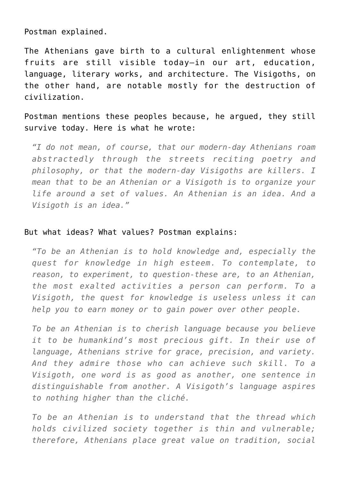Postman explained.

The Athenians gave birth to a cultural enlightenment whose fruits are still visible today—in our art, education, language, literary works, and architecture. The Visigoths, on the other hand, are notable mostly for the destruction of civilization.

Postman mentions these peoples because, he argued, they still survive today. Here is what he wrote:

*"I do not mean, of course, that our modern-day Athenians roam abstractedly through the streets reciting poetry and philosophy, or that the modern-day Visigoths are killers. I mean that to be an Athenian or a Visigoth is to organize your life around a set of values. An Athenian is an idea. And a Visigoth is an idea."*

## But what ideas? What values? Postman explains:

*"To be an Athenian is to hold knowledge and, especially the quest for knowledge in high esteem. To contemplate, to reason, to experiment, to question-these are, to an Athenian, the most exalted activities a person can perform. To a Visigoth, the quest for knowledge is useless unless it can help you to earn money or to gain power over other people.*

*To be an Athenian is to cherish language because you believe it to be humankind's most precious gift. In their use of language, Athenians strive for grace, precision, and variety. And they admire those who can achieve such skill. To a Visigoth, one word is as good as another, one sentence in distinguishable from another. A Visigoth's language aspires to nothing higher than the cliché.*

*To be an Athenian is to understand that the thread which holds civilized society together is thin and vulnerable; therefore, Athenians place great value on tradition, social*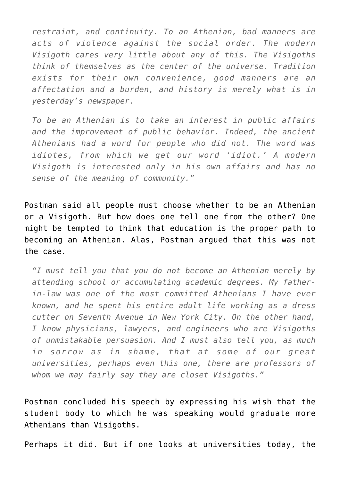*restraint, and continuity. To an Athenian, bad manners are acts of violence against the social order. The modern Visigoth cares very little about any of this. The Visigoths think of themselves as the center of the universe. Tradition exists for their own convenience, good manners are an affectation and a burden, and history is merely what is in yesterday's newspaper.*

*To be an Athenian is to take an interest in public affairs and the improvement of public behavior. Indeed, the ancient Athenians had a word for people who did not. The word was idiotes, from which we get our word 'idiot.' A modern Visigoth is interested only in his own affairs and has no sense of the meaning of community."*

Postman said all people must choose whether to be an Athenian or a Visigoth. But how does one tell one from the other? One might be tempted to think that education is the proper path to becoming an Athenian. Alas, Postman argued that this was not the case.

*"I must tell you that you do not become an Athenian merely by attending school or accumulating academic degrees. My fatherin-law was one of the most committed Athenians I have ever known, and he spent his entire adult life working as a dress cutter on Seventh Avenue in New York City. On the other hand, I know physicians, lawyers, and engineers who are Visigoths of unmistakable persuasion. And I must also tell you, as much in sorrow as in shame, that at some of our great universities, perhaps even this one, there are professors of whom we may fairly say they are closet Visigoths."*

Postman concluded his speech by expressing his wish that the student body to which he was speaking would graduate more Athenians than Visigoths.

Perhaps it did. But if one looks at universities today, the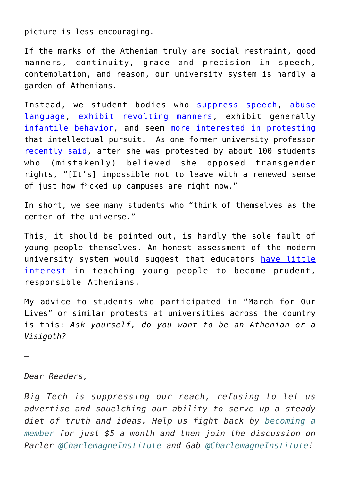picture is less encouraging.

If the marks of the Athenian truly are social restraint, good manners, continuity, grace and precision in speech, contemplation, and reason, our university system is hardly a garden of Athenians.

Instead, we student bodies who [suppress speech](https://www.intellectualtakeout.org/article/charles-murray-violent-middlebury-protesters-should-be-suspended-or-expelled), [abuse](https://www.intellectualtakeout.org/article/evergreen-insanity-students-forced-college-pres-pee-under-escort) [language,](https://www.intellectualtakeout.org/article/evergreen-insanity-students-forced-college-pres-pee-under-escort) [exhibit revolting manners,](https://www.intellectualtakeout.org/blog/documentary-yale-reveals-how-scary-us-campuses-have-become) exhibit generally [infantile behavior,](https://www.intellectualtakeout.org/blog/professor-university-students-behave-infants) and seem [more interested in protesting](https://www.campusreform.org/?ID=7308) that intellectual pursuit. As one former university professor [recently said](https://www.intellectualtakeout.org/article/confused-wellesley-students-protest-scholar-believing-she-opposes-transgender-rights-she), after she was protested by about 100 students who (mistakenly) believed she opposed transgender rights, "[It's] impossible not to leave with a renewed sense of just how f\*cked up campuses are right now."

In short, we see many students who "think of themselves as the center of the universe."

This, it should be pointed out, is hardly the sole fault of young people themselves. An honest assessment of the modern university system would suggest that educators [have little](https://www.intellectualtakeout.org/blog/professor-one-reason-why-universities-became-day-cares) [interest](https://www.intellectualtakeout.org/blog/professor-one-reason-why-universities-became-day-cares) in teaching young people to become prudent, responsible Athenians.

My advice to students who participated in "March for Our Lives" or similar protests at universities across the country is this: *Ask yourself, do you want to be an Athenian or a Visigoth?*

—

*Dear Readers,*

*Big Tech is suppressing our reach, refusing to let us advertise and squelching our ability to serve up a steady diet of truth and ideas. Help us fight back by [becoming a](https://www.chroniclesmagazine.org/subscribe/) [member](https://www.chroniclesmagazine.org/subscribe/) for just \$5 a month and then join the discussion on Parler [@CharlemagneInstitute](https://parler.com/profile/CharlemagneInstitute) and Gab [@CharlemagneInstitute](https://gab.com/CharlemagneInstitute)!*